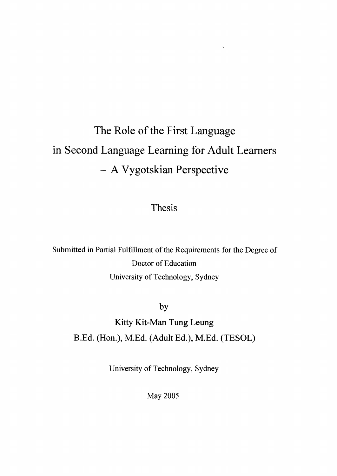# The Role of the First Language in Second Language Learning for Adult Learners - A Vygotskian Perspective

 $\sim 10^{11}$  km s  $^{-1}$  .

Thesis

**Submitted** in Partial Fulfillment of the Requirements for the Degree of **Doctor** of Education **University of Technology, Sydney**

**by**

**Kitty Kit-Man Tung Leung B.Ed. (Hon.), M.Ed. (Adult Ed.), M.Ed. (TESOL)**

**University of Technology, Sydney** 

**May 2005**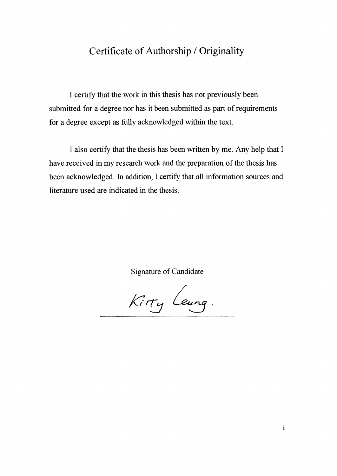### Certificate of Authorship / Originality

**I certify that the work in this thesis has not previously been submitted for a degree nor has it been submitted as part of requirements for a degree except as fully acknowledged within the text.**

**I also certify that the thesis has been written by me. Any help that I have received in my research work and the preparation ofthe thesis has been acknowledged. In addition, I certify that all information sources and literature used are indicated in the thesis.**

**Signature of Candidate**

Kitty Leung.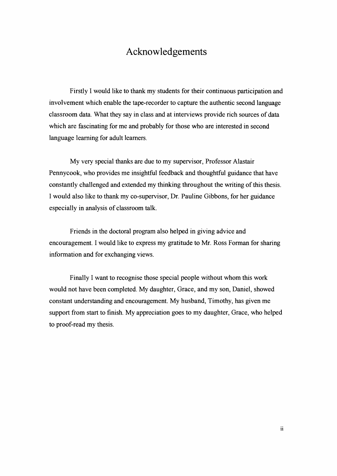#### Acknowledgements

Firstly I would like to thank my students for their continuous participation and involvement which enable the tape-recorder to capture the authentic second language classroom data. What they say in class and at interviews provide rich sources of data which are fascinating for me and probably for those who are interested in second language learning for adult learners.

My very special thanks are due to my supervisor, Professor Alastair Pennycook, who provides me insightful feedback and thoughtful guidance that have constantly challenged and extended my thinking throughout the writing of this thesis. I would also like to thank my co-supervisor, Dr. Pauline Gibbons, for her guidance especially in analysis of classroom talk.

Friends in the doctoral program also helped in giving advice and encouragement. I would like to express my gratitude to Mr. Ross Forman for sharing information and for exchanging views.

Finally I want to recognise those special people without whom this work would not have been completed. My daughter, Grace, and my son, Daniel, showed constant understanding and encouragement. My husband, Timothy, has given me support from start to finish. My appreciation goes to my daughter, Grace, who helped to proof-read my thesis.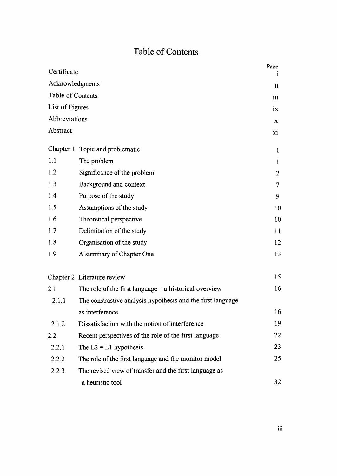## **Table of Contents**

| Certificate       |                                                             | Page           |
|-------------------|-------------------------------------------------------------|----------------|
| Acknowledgments   |                                                             | $\mathbf{ii}$  |
| Table of Contents |                                                             | 111            |
| List of Figures   |                                                             | 1X             |
| Abbreviations     |                                                             | $\mathbf{x}$   |
| Abstract          |                                                             | X1             |
|                   | Chapter 1 Topic and problematic                             | 1              |
| 1.1               | The problem                                                 | $\mathbf{1}$   |
| 1.2               | Significance of the problem                                 | $\overline{2}$ |
| 1.3               | Background and context                                      | 7              |
| 1.4               | Purpose of the study                                        | 9              |
| 1.5               | Assumptions of the study                                    | 10             |
| 1.6               | Theoretical perspective                                     | 10             |
| 1.7               | Delimitation of the study                                   | 11             |
| 1.8               | Organisation of the study                                   | 12             |
| 1.9               | A summary of Chapter One                                    | 13             |
|                   | Chapter 2 Literature review                                 | 15             |
| 2.1               | The role of the first language $-$ a historical overview    | 16             |
| 2.1.1             | The constrastive analysis hypothesis and the first language |                |
|                   | as interference                                             | 16             |
| 2.1.2             | Dissatisfaction with the notion of interference             | 19             |
| 2.2               | Recent perspectives of the role of the first language       | 22             |
| 2.2.1             | The $L2 = L1$ hypothesis                                    | 23             |
| 2.2.2             | The role of the first language and the monitor model        | 25             |
| 2.2.3             | The revised view of transfer and the first language as      |                |
|                   | a heuristic tool                                            | 32             |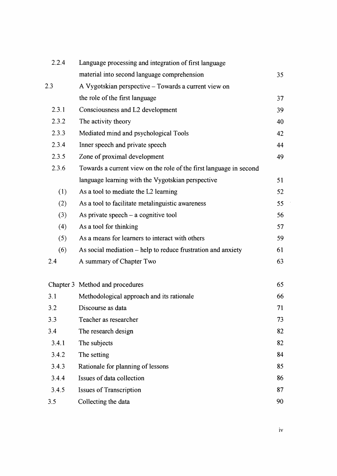| 2.2.4 | Language processing and integration of first language              |    |
|-------|--------------------------------------------------------------------|----|
|       | material into second language comprehension                        | 35 |
| 2.3   | A Vygotskian perspective – Towards a current view on               |    |
|       | the role of the first language                                     | 37 |
| 2.3.1 | Consciousness and L2 development                                   | 39 |
| 2.3.2 | The activity theory                                                | 40 |
| 2.3.3 | Mediated mind and psychological Tools                              | 42 |
| 2.3.4 | Inner speech and private speech                                    | 44 |
| 2.3.5 | Zone of proximal development                                       | 49 |
| 2.3.6 | Towards a current view on the role of the first language in second |    |
|       | language learning with the Vygotskian perspective                  | 51 |
| (1)   | As a tool to mediate the L2 learning                               | 52 |
| (2)   | As a tool to facilitate metalinguistic awareness                   | 55 |
| (3)   | As private speech $-$ a cognitive tool                             | 56 |
| (4)   | As a tool for thinking                                             | 57 |
| (5)   | As a means for learners to interact with others                    | 59 |
| (6)   | As social mediation – help to reduce frustration and anxiety       | 61 |
| 2.4   | A summary of Chapter Two                                           | 63 |
|       | Chapter 3 Method and procedures                                    | 65 |
| 3.1   | Methodological approach and its rationale                          | 66 |
| 3.2   | Discourse as data                                                  | 71 |
| 3.3   | Teacher as researcher                                              | 73 |
| 3.4   | The research design                                                | 82 |
| 3.4.1 | The subjects                                                       | 82 |
| 3.4.2 | The setting                                                        | 84 |
| 3.4.3 | Rationale for planning of lessons                                  | 85 |
| 3.4.4 | Issues of data collection                                          | 86 |
| 3.4.5 | <b>Issues of Transcription</b>                                     | 87 |
| 3.5   | Collecting the data                                                | 90 |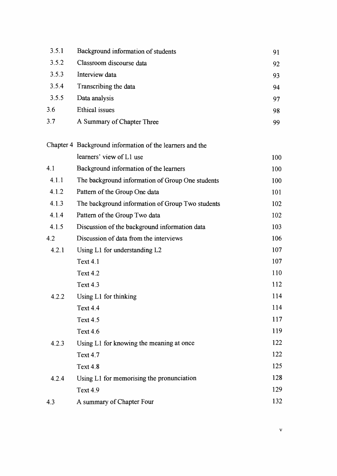| 3.5.1 | Background information of students | 91 |
|-------|------------------------------------|----|
| 3.5.2 | Classroom discourse data           | 92 |
| 3.5.3 | Interview data                     | 93 |
| 3.5.4 | Transcribing the data              | 94 |
| 3.5.5 | Data analysis                      | 97 |
| 3.6   | Ethical issues                     | 98 |
| 3.7   | A Summary of Chapter Three         | 99 |
|       |                                    |    |

|       | Chapter 4 Background information of the learners and the |     |
|-------|----------------------------------------------------------|-----|
|       | learners' view of L1 use                                 | 100 |
| 4.1   | Background information of the learners                   | 100 |
| 4.1.1 | The background information of Group One students         | 100 |
| 4.1.2 | Pattern of the Group One data                            | 101 |
| 4.1.3 | The background information of Group Two students         | 102 |
| 4.1.4 | Pattern of the Group Two data                            | 102 |
| 4.1.5 | Discussion of the background information data            | 103 |
| 4.2   | Discussion of data from the interviews                   | 106 |
| 4.2.1 | Using L1 for understanding L2                            | 107 |
|       | <b>Text 4.1</b>                                          | 107 |
|       | <b>Text 4.2</b>                                          | 110 |
|       | <b>Text 4.3</b>                                          | 112 |
| 4.2.2 | Using L1 for thinking                                    | 114 |
|       | <b>Text 4.4</b>                                          | 114 |
|       | <b>Text 4.5</b>                                          | 117 |
|       | <b>Text 4.6</b>                                          | 119 |
| 4.2.3 | Using L1 for knowing the meaning at once                 | 122 |
|       | <b>Text 4.7</b>                                          | 122 |
|       | <b>Text 4.8</b>                                          | 125 |
| 4.2.4 | Using L1 for memorising the pronunciation                | 128 |
|       | Text 4.9                                                 | 129 |
| 4.3   | A summary of Chapter Four                                | 132 |
|       |                                                          |     |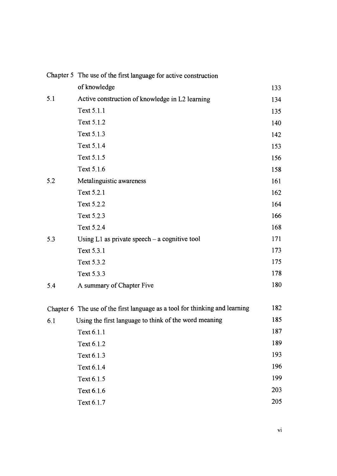|     | Chapter 5 The use of the first language for active construction             |     |  |
|-----|-----------------------------------------------------------------------------|-----|--|
|     | of knowledge                                                                | 133 |  |
| 5.1 | Active construction of knowledge in L2 learning                             | 134 |  |
|     | Text 5.1.1                                                                  | 135 |  |
|     | Text 5.1.2                                                                  | 140 |  |
|     | Text 5.1.3                                                                  | 142 |  |
|     | Text 5.1.4                                                                  | 153 |  |
|     | Text 5.1.5                                                                  | 156 |  |
|     | Text 5.1.6                                                                  | 158 |  |
| 5.2 | Metalinguistic awareness                                                    | 161 |  |
|     | Text 5.2.1                                                                  | 162 |  |
|     | Text 5.2.2                                                                  | 164 |  |
|     | Text 5.2.3                                                                  | 166 |  |
|     | Text 5.2.4                                                                  | 168 |  |
| 5.3 | Using $L1$ as private speech – a cognitive tool                             | 171 |  |
|     | Text 5.3.1                                                                  | 173 |  |
|     | Text 5.3.2                                                                  | 175 |  |
|     | Text 5.3.3                                                                  | 178 |  |
| 5.4 | A summary of Chapter Five                                                   | 180 |  |
|     | Chapter 6 The use of the first language as a tool for thinking and learning | 182 |  |
| 6.1 | Using the first language to think of the word meaning                       | 185 |  |
|     | Text 6.1.1                                                                  | 187 |  |
|     | Text 6.1.2                                                                  | 189 |  |
|     | Text 6.1.3                                                                  | 193 |  |
|     | Text 6.1.4                                                                  | 196 |  |
|     | Text 6.1.5                                                                  | 199 |  |
|     | Text 6.1.6                                                                  | 203 |  |
|     | Text 6.1.7                                                                  | 205 |  |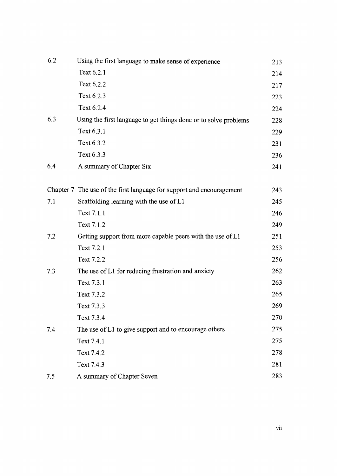| 6.2 | Using the first language to make sense of experience                  | 213 |
|-----|-----------------------------------------------------------------------|-----|
|     | Text 6.2.1                                                            | 214 |
|     | Text 6.2.2                                                            | 217 |
|     | Text 6.2.3                                                            | 223 |
|     | Text 6.2.4                                                            | 224 |
| 6.3 | Using the first language to get things done or to solve problems      | 228 |
|     | Text 6.3.1                                                            | 229 |
|     | Text 6.3.2                                                            | 231 |
|     | Text 6.3.3                                                            | 236 |
| 6.4 | A summary of Chapter Six                                              | 241 |
|     | Chapter 7 The use of the first language for support and encouragement | 243 |
| 7.1 | Scaffolding learning with the use of L1                               | 245 |
|     | Text 7.1.1                                                            | 246 |
|     | Text 7.1.2                                                            | 249 |
| 7.2 | Getting support from more capable peers with the use of L1            | 251 |
|     | Text 7.2.1                                                            | 253 |
|     | Text 7.2.2                                                            | 256 |
| 7.3 | The use of L1 for reducing frustration and anxiety                    | 262 |
|     | Text 7.3.1                                                            | 263 |
|     | Text 7.3.2                                                            | 265 |
|     | Text 7.3.3                                                            | 269 |
|     | Text 7.3.4                                                            | 270 |
| 7.4 | The use of L1 to give support and to encourage others                 | 275 |
|     | Text 7.4.1                                                            | 275 |
|     | Text 7.4.2                                                            | 278 |
|     | Text 7.4.3                                                            | 281 |
| 7.5 | A summary of Chapter Seven                                            | 283 |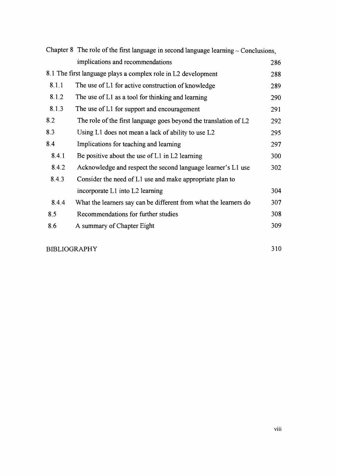|       | Chapter 8 The role of the first language in second language learning - Conclusions, |     |
|-------|-------------------------------------------------------------------------------------|-----|
|       | implications and recommendations                                                    | 286 |
|       | 8.1 The first language plays a complex role in L2 development                       | 288 |
| 8.1.1 | The use of L1 for active construction of knowledge                                  | 289 |
| 8.1.2 | The use of L1 as a tool for thinking and learning                                   | 290 |
| 8.1.3 | The use of L1 for support and encouragement                                         | 291 |
| 8.2   | The role of the first language goes beyond the translation of L2                    | 292 |
| 8.3   | Using L1 does not mean a lack of ability to use L2                                  | 295 |
| 8.4   | Implications for teaching and learning                                              | 297 |
| 8.4.1 | Be positive about the use of $L1$ in $L2$ learning                                  | 300 |
| 8.4.2 | Acknowledge and respect the second language learner's L1 use                        | 302 |
| 8.4.3 | Consider the need of L1 use and make appropriate plan to                            |     |
|       | incorporate L1 into L2 learning                                                     | 304 |
| 8.4.4 | What the learners say can be different from what the learners do                    | 307 |
| 8.5   | Recommendations for further studies                                                 | 308 |
| 8.6   | A summary of Chapter Eight                                                          | 309 |
|       |                                                                                     |     |

#### BIBLIOGRAPHY 310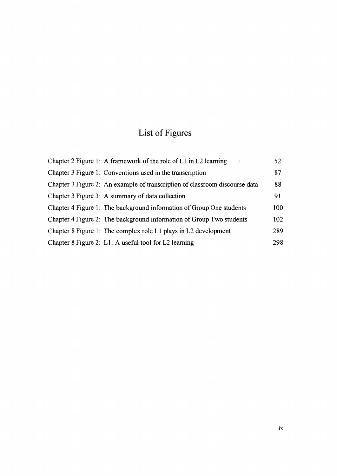# **List of Figures**

| Chapter 2 Figure 1: A framework of the role of $L1$ in $L2$ learning        | 52  |
|-----------------------------------------------------------------------------|-----|
| Chapter 3 Figure 1: Conventions used in the transcription                   | 87  |
| Chapter 3 Figure 2: An example of transcription of classroom discourse data | 88  |
| Chapter 3 Figure 3: A summary of data collection                            | 91  |
| Chapter 4 Figure 1: The background information of Group One students        | 100 |
| Chapter 4 Figure 2: The background information of Group Two students        | 102 |
| Chapter 8 Figure 1: The complex role L1 plays in L2 development             | 289 |
| Chapter 8 Figure 2: L1: A useful tool for L2 learning                       | 298 |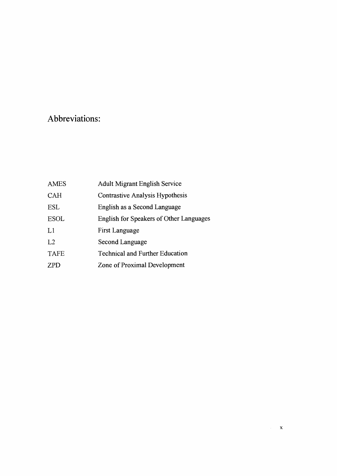# **Abbreviations:**

| AMES        | <b>Adult Migrant English Service</b>    |
|-------------|-----------------------------------------|
| <b>CAH</b>  | Contrastive Analysis Hypothesis         |
| ESL         | English as a Second Language            |
| <b>ESOL</b> | English for Speakers of Other Languages |
| L1          | First Language                          |
| L2          | Second Language                         |
| <b>TAFE</b> | <b>Technical and Further Education</b>  |
| <b>ZPD</b>  | Zone of Proximal Development            |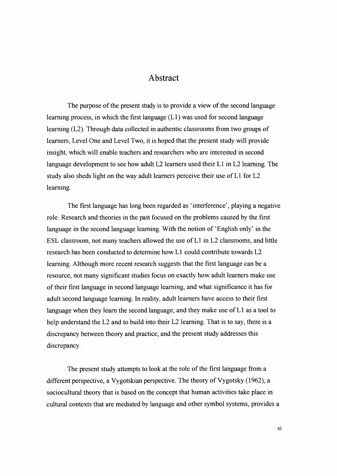#### **Abstract**

The purpose of the present study is to provide a view of the second language learning process, in which the first language (LI) was used for second language learning (L2). Through data collected in authentic classrooms from two groups of learners, Level One and Level Two, it is hoped that the present study will provide insight, which will enable teachers and researchers who are interested in second language development to see how adult L2 learners used their LI in L2 learning. The study also sheds light on the way adult learners perceive their use of L1 for L2 learning.

The first language has long been regarded as 'interference', playing a negative role. Research and theories in the past focused on the problems caused by the first language in the second language learning. With the notion of 'English only' in the ESL classroom, not many teachers allowed the use of  $L1$  in  $L2$  classrooms, and little research has been conducted to determine how LI could contribute towards L2 learning. Although more recent research suggests that the first language can be a resource, not many significant studies focus on exactly how adult learners make use of their first language in second language learning, and what significance it has for adult second language learning. In reality, adult learners have access to their first language when they learn the second language, and they make use of  $L1$  as a tool to help understand the L2 and to build into their L2 learning. That is to say, there is a discrepancy between theory and practice, and the present study addresses this discrepancy.

The present study attempts to look at the role of the first language from a different perspective, a Vygotskian perspective. The theory of Vygotsky (1962), a sociocultural theory that is based on the concept that human activities take place in cultural contexts that are mediated by language and other symbol systems, provides a

XI